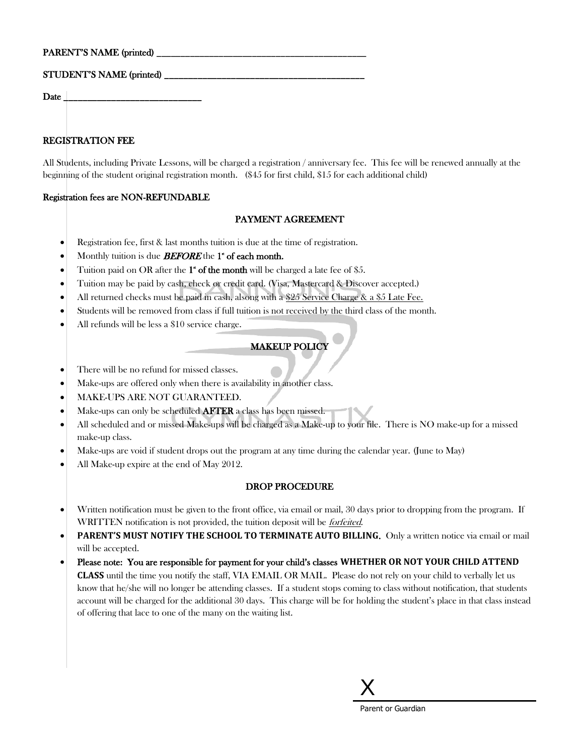# STUDENT'S NAME (printed) \_

 $\bf{Date}$ 

# REGISTRATION FEE

All Students, including Private Lessons, will be charged a registration / anniversary fee. This fee will be renewed annually at the beginning of the student original registration month. (\$45 for first child, \$15 for each additional child)

### Registration fees are NON-REFUNDABLE

# PAYMENT AGREEMENT

- Registration fee, first & last months tuition is due at the time of registration.
- $\bullet$  Monthly tuition is due **BEFORE** the 1<sup>\*</sup> of each month.
- Tuition paid on OR after the  $1$ <sup>\*</sup> of the month will be charged a late fee of \$5.
- Tuition may be paid by cash, check or credit card. (Visa, Mastercard & Discover accepted.)
- All returned checks must be paid in cash, alsong with a \$25 Service Charge & a \$5 Late Fee.
- Students will be removed from class if full tuition is not received by the third class of the month.
- All refunds will be less a \$10 service charge.

# MAKEUP POLICY

- There will be no refund for missed classes.
- Make-ups are offered only when there is availability in another class.
- MAKE-UPS ARE NOT GUARANTEED.
- Make-ups can only be scheduled AFTER a class has been missed.
- All scheduled and or missed Make-ups will be charged as a Make-up to your file. There is NO make-up for a missed make-up class.
- Make-ups are void if student drops out the program at any time during the calendar year. (June to May)
- All Make-up expire at the end of May 2012.

# DROP PROCEDURE

- Written notification must be given to the front office, via email or mail, 30 days prior to dropping from the program. If WRITTEN notification is not provided, the tuition deposit will be *forfeited*.
- **PARENT'S MUST NOTIFY THE SCHOOL TO TERMINATE AUTO BILLING**. Only a written notice via email or mail will be accepted.
- Please note: You are responsible for payment for your child's classes **WHETHER OR NOT YOUR CHILD ATTEND CLASS** until the time you notify the staff, VIA EMAIL OR MAIL. Please do not rely on your child to verbally let us know that he/she will no longer be attending classes. If a student stops coming to class without notification, that students account will be charged for the additional 30 days. This charge will be for holding the student's place in that class instead of offering that lace to one of the many on the waiting list.

X Parent or Guardian